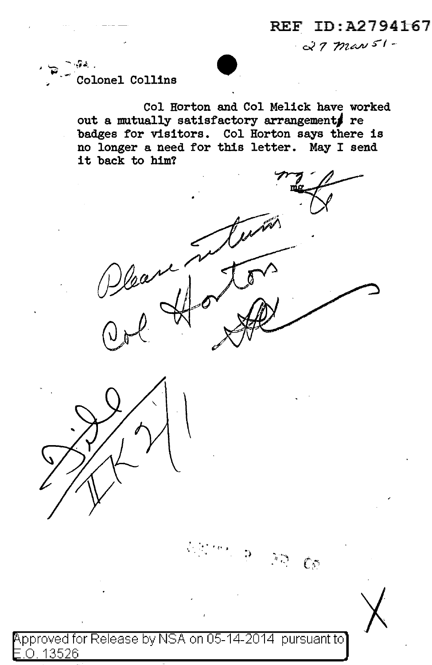REF ID:A2794167 0< *7 77-u;.11.1 5'* I -

 $\begin{array}{ccc} \mathbf{C} & \mathbf{C} & \mathbf{C} & \mathbf{C} & \mathbf{C} & \mathbf{C} & \mathbf{C} & \mathbf{C} & \mathbf{C} & \mathbf{C} & \mathbf{C} & \mathbf{C} & \mathbf{C} & \mathbf{C} & \mathbf{C} & \mathbf{C} & \mathbf{C} & \mathbf{C} & \mathbf{C} & \mathbf{C} & \mathbf{C} & \mathbf{C} & \mathbf{C} & \mathbf{C} & \mathbf{C} & \mathbf{C} & \mathbf{C} & \mathbf{C} & \mathbf{C} & \mathbf{C} & \mathbf$  $\widehat{C}$  . Colonel Collins .

,

Col Horton and Col Melick have worked out a mutually satisfactory arrangements re badges for visitors. Col Horton says there is no longer a need for this letter. May I send it back to him?





pproved for Release by NSA on 05-14-2014 pursuant to .0. 13526

 $\eta$ 

 $\mathbb{C}^{\infty}$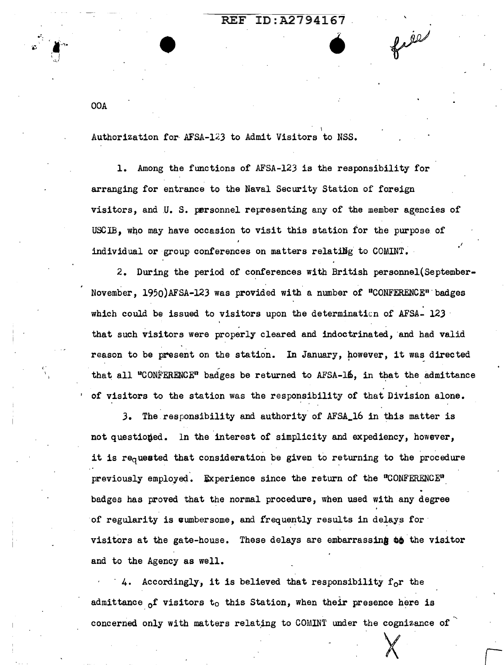## REF ID:A2794167

file

OOA

, .. \

Authorization for AFSA-123 to Admit Visitors to NSS.

•

1. Among the functions of AFSA-123 is the responsibility for arranging for entrance to the Naval Security Station of foreign visitors, and U. S. personnel representing any of the member agencies of USCIB, who may have occasion to visit this station for the purpose of individual or group conferences on matters relating to COMINT.

2. During the period of conferences with British personnel{September-November, 1950)AFSA-123 was provided with a number of "CONFERENCE" badges which could be issued to visitors upon the determinaticn of AFSA- 123 · that such visitors were properly cleared and indoctrinated, and had valid reason to be present on the station. In January, however, it was directed that all "CONFERENCE" badges be returned to AFSA-16, in that the admittance of visitors to the station was the responsibility of that Division alone.

3. The.responsibility and authority of AFSA\_l6 in this matter is not questioned. In the interest of simplicity and expediency, however, it is  $re<sub>q</sub>$ uested that consideration be given to returning to the procedure previously employed. Experience since the return of the "CONFERENCE" badges has proved that the normal procedure, when used with any degree of regularity is cumbersome, and frequently results in delays for visitors at the gate-house. These delays are embarrassing to the visitor and to the Agency as well.

4. Accordingly, it is believed that responsibility  $f_0r$  the admittance  $_0$ f visitors to this Station, when their presence here is concerned only with matters relating to COMINT under the cognizance of  $\sim$